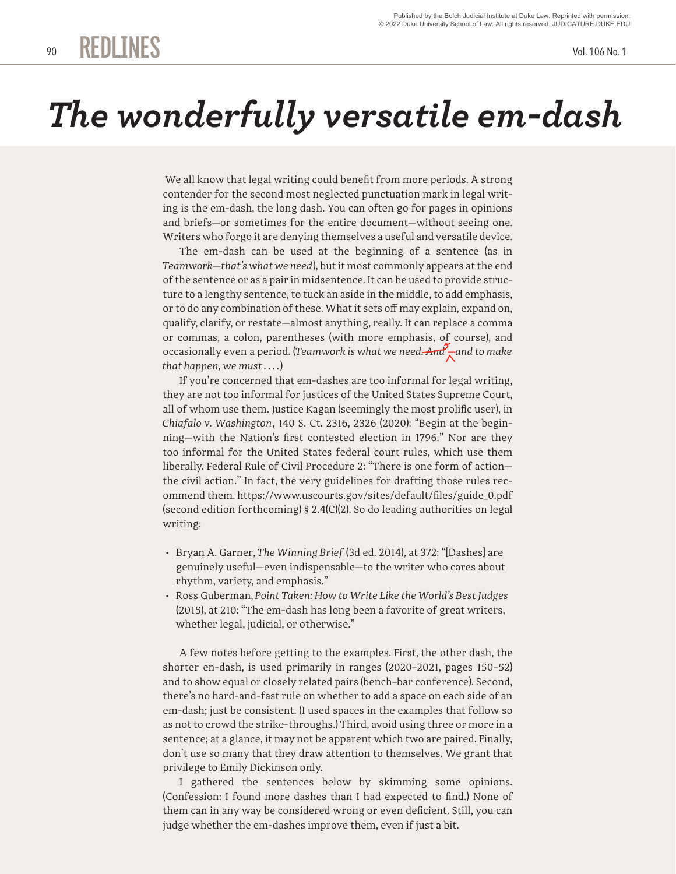## *The wonderfully versatile em-dash*

 We all know that legal writing could benefit from more periods. A strong contender for the second most neglected punctuation mark in legal writing is the em-dash, the long dash. You can often go for pages in opinions and briefs—or sometimes for the entire document—without seeing one. Writers who forgo it are denying themselves a useful and versatile device.

The em-dash can be used at the beginning of a sentence (as in *Teamwork—that's what we need*), but it most commonly appears at the end of the sentence or as a pair in midsentence. It can be used to provide structure to a lengthy sentence, to tuck an aside in the middle, to add emphasis, or to do any combination of these. What it sets off may explain, expand on, qualify, clarify, or restate—almost anything, really. It can replace a comma or commas, a colon, parentheses (with more emphasis, of course), and occasionally even a period. (*Teamwork is what we need. And* **—***and to make that happen, we must . . . .*)

If you're concerned that em-dashes are too informal for legal writing, they are not too informal for justices of the United States Supreme Court, all of whom use them. Justice Kagan (seemingly the most prolific user), in *Chiafalo v. Washington*, 140 S. Ct. 2316, 2326 (2020): "Begin at the beginning—with the Nation's first contested election in 1796." Nor are they too informal for the United States federal court rules, which use them liberally. Federal Rule of Civil Procedure 2: "There is one form of action the civil action." In fact, the very guidelines for drafting those rules recommend them. https://www.uscourts.gov/sites/default/files/guide\_0.pdf (second edition forthcoming) § 2.4(C)(2). So do leading authorities on legal writing:

- Bryan A. Garner, *The Winning Brief* (3d ed. 2014), at 372: "[Dashes] are genuinely useful—even indispensable—to the writer who cares about rhythm, variety, and emphasis."
- Ross Guberman, *Point Taken: How to Write Like the World's Best Judges* (2015), at 210: "The em-dash has long been a favorite of great writers, whether legal, judicial, or otherwise."

A few notes before getting to the examples. First, the other dash, the shorter en-dash, is used primarily in ranges (2020–2021, pages 150–52) and to show equal or closely related pairs (bench–bar conference). Second, there's no hard-and-fast rule on whether to add a space on each side of an em-dash; just be consistent. (I used spaces in the examples that follow so as not to crowd the strike-throughs.) Third, avoid using three or more in a sentence; at a glance, it may not be apparent which two are paired. Finally, don't use so many that they draw attention to themselves. We grant that privilege to Emily Dickinson only.

I gathered the sentences below by skimming some opinions. (Confession: I found more dashes than I had expected to find.) None of them can in any way be considered wrong or even deficient. Still, you can judge whether the em-dashes improve them, even if just a bit.